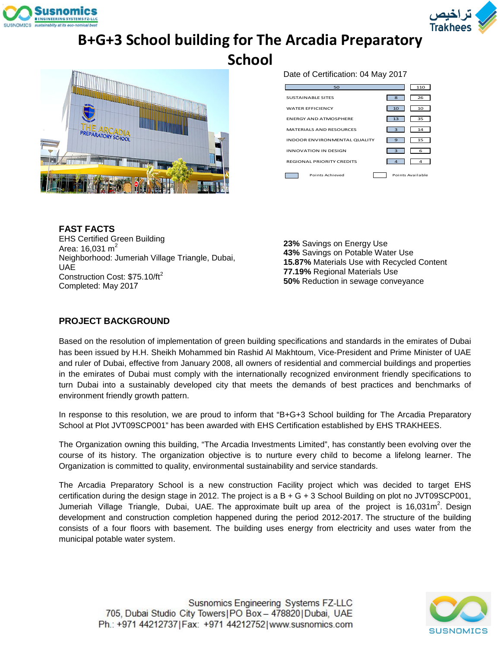



# **B+G+3 School building for The Arcadia Preparatory**

**School**



Date of Certification: 04 May 2017

| 50                                  |              | 110              |
|-------------------------------------|--------------|------------------|
| <b>SUSTAINABLE SITES</b>            | $\mathbf{a}$ | 26               |
| <b>WATER EFFICIENCY</b>             | 10           | 10               |
| <b>ENERGY AND ATMOSPHERE</b>        | 13           | 35               |
| MATERIALS AND RESOURCES             | з            | 14               |
| <b>INDOOR ENVIRONMENTAL QUALITY</b> | 9            | 15               |
| INNOVATION IN DESIGN                | з            | 6                |
| <b>REGIONAL PRIORITY CREDITS</b>    | $\Delta$     | 4                |
| Points Achieved                     |              | Points Available |

**FAST FACTS** EHS Certified Green Building Area: 16,031 m $^2$ Neighborhood: Jumeriah Village Triangle, Dubai, UAE Construction Cost: \$75.10/ft<sup>2</sup> Completed: May 2017

**23%** Savings on Energy Use **43%** Savings on Potable Water Use **15.87%** Materials Use with Recycled Content **77.19%** Regional Materials Use **50%** Reduction in sewage conveyance

### **PROJECT BACKGROUND**

Based on the resolution of implementation of green building specifications and standards in the emirates of Dubai has been issued by H.H. Sheikh Mohammed bin Rashid Al Makhtoum, Vice-President and Prime Minister of UAE and ruler of Dubai, effective from January 2008, all owners of residential and commercial buildings and properties in the emirates of Dubai must comply with the internationally recognized environment friendly specifications to turn Dubai into a sustainably developed city that meets the demands of best practices and benchmarks of environment friendly growth pattern.

In response to this resolution, we are proud to inform that "B+G+3 School building for The Arcadia Preparatory School at Plot JVT09SCP001" has been awarded with EHS Certification established by EHS TRAKHEES.

The Organization owning this building, "The Arcadia Investments Limited", has constantly been evolving over the course of its history. The organization objective is to nurture every child to become a lifelong learner. The Organization is committed to quality, environmental sustainability and service standards.

The Arcadia Preparatory School is a new construction Facility project which was decided to target EHS certification during the design stage in 2012. The project is a B + G + 3 School Building on plot no JVT09SCP001, Jumeriah Village Triangle, Dubai, UAE. The approximate built up area of the project is 16,031m<sup>2</sup>. Design development and construction completion happened during the period 2012-2017. The structure of the building consists of a four floors with basement. The building uses energy from electricity and uses water from the municipal potable water system.